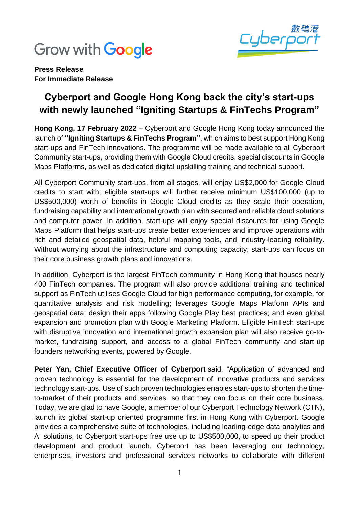



**Press Release For Immediate Release**

## **Cyberport and Google Hong Kong back the city's start-ups with newly launched "Igniting Startups & FinTechs Program"**

**Hong Kong, 17 February 2022** – Cyberport and Google Hong Kong today announced the launch of **"Igniting Startups & FinTechs Program"**, which aims to best support Hong Kong start-ups and FinTech innovations. The programme will be made available to all Cyberport Community start-ups, providing them with Google Cloud credits, special discounts in Google Maps Platforms, as well as dedicated digital upskilling training and technical support.

All Cyberport Community start-ups, from all stages, will enjoy US\$2,000 for Google Cloud credits to start with; eligible start-ups will further receive minimum US\$100,000 (up to US\$500,000) worth of benefits in Google Cloud credits as they scale their operation, fundraising capability and international growth plan with secured and reliable cloud solutions and computer power. In addition, start-ups will enjoy special discounts for using Google Maps Platform that helps start-ups create better experiences and improve operations with rich and detailed geospatial data, helpful mapping tools, and industry-leading reliability. Without worrying about the infrastructure and computing capacity, start-ups can focus on their core business growth plans and innovations.

In addition, Cyberport is the largest FinTech community in Hong Kong that houses nearly 400 FinTech companies. The program will also provide additional training and technical support as FinTech utilises Google Cloud for high performance computing, for example, for quantitative analysis and risk modelling; leverages Google Maps Platform APIs and geospatial data; design their apps following Google Play best practices; and even global expansion and promotion plan with Google Marketing Platform. Eligible FinTech start-ups with disruptive innovation and international growth expansion plan will also receive go-tomarket, fundraising support, and access to a global FinTech community and start-up founders networking events, powered by Google.

**Peter Yan, Chief Executive Officer of Cyberport** said, "Application of advanced and proven technology is essential for the development of innovative products and services technology start-ups. Use of such proven technologies enables start-ups to shorten the timeto-market of their products and services, so that they can focus on their core business. Today, we are glad to have Google, a member of our Cyberport Technology Network (CTN), launch its global start-up oriented programme first in Hong Kong with Cyberport. Google provides a comprehensive suite of technologies, including leading-edge data analytics and AI solutions, to Cyberport start-ups free use up to US\$500,000, to speed up their product development and product launch. Cyberport has been leveraging our technology, enterprises, investors and professional services networks to collaborate with different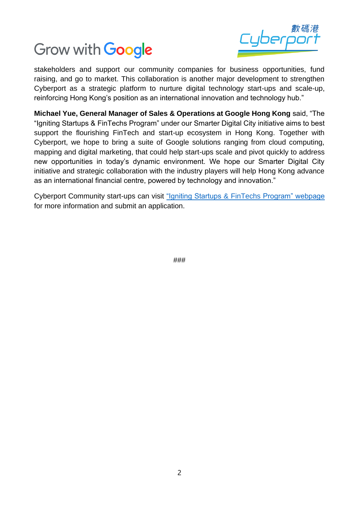



stakeholders and support our community companies for business opportunities, fund raising, and go to market. This collaboration is another major development to strengthen Cyberport as a strategic platform to nurture digital technology start-ups and scale-up, reinforcing Hong Kong's position as an international innovation and technology hub."

**Michael Yue, General Manager of Sales & Operations at Google Hong Kong** said, "The "Igniting Startups & FinTechs Program" under our Smarter Digital City initiative aims to best support the flourishing FinTech and start-up ecosystem in Hong Kong. Together with Cyberport, we hope to bring a suite of Google solutions ranging from cloud computing, mapping and digital marketing, that could help start-ups scale and pivot quickly to address new opportunities in today's dynamic environment. We hope our Smarter Digital City initiative and strategic collaboration with the industry players will help Hong Kong advance as an international financial centre, powered by technology and innovation."

Cyberport Community start-ups can visit "Igniting Startups & [FinTechs Program" webpage](https://rsvp.withgoogle.com/events/igniting-startups-fintechs-program) for more information and submit an application.

###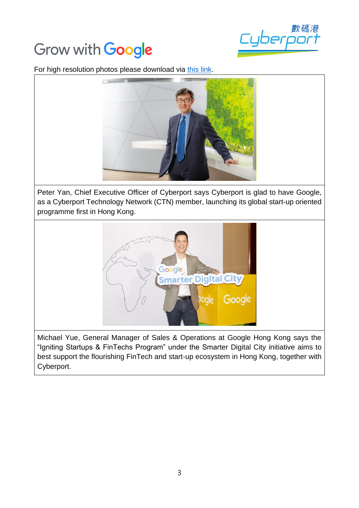## Grow with **Google**



For high resolution photos please download via [this link.](https://drive.google.com/drive/folders/1S733k6v_rTirYW_2FxkR-Y19tkZ_McnC?usp=sharing)



Peter Yan, Chief Executive Officer of Cyberport says Cyberport is glad to have Google, as a Cyberport Technology Network (CTN) member, launching its global start-up oriented programme first in Hong Kong.



Michael Yue, General Manager of Sales & Operations at Google Hong Kong says the "Igniting Startups & FinTechs Program" under the Smarter Digital City initiative aims to best support the flourishing FinTech and start-up ecosystem in Hong Kong, together with Cyberport.